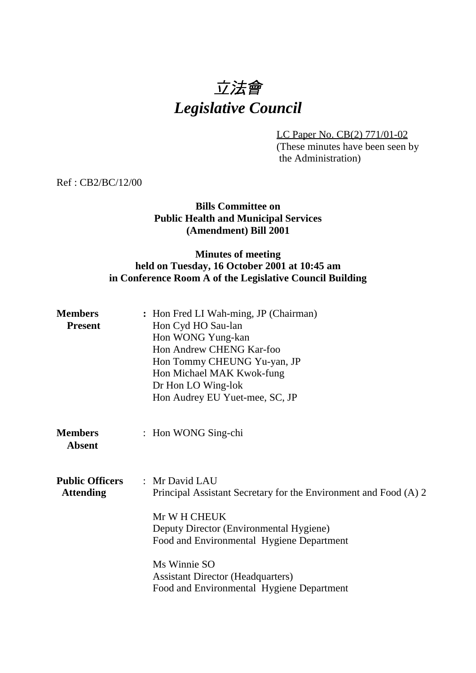# 立法會 *Legislative Council*

LC Paper No. CB(2) 771/01-02 (These minutes have been seen by the Administration)

Ref : CB2/BC/12/00

### **Bills Committee on Public Health and Municipal Services (Amendment) Bill 2001**

## **Minutes of meeting held on Tuesday, 16 October 2001 at 10:45 am in Conference Room A of the Legislative Council Building**

| <b>Members</b><br><b>Present</b>           | : Hon Fred LI Wah-ming, JP (Chairman)<br>Hon Cyd HO Sau-lan<br>Hon WONG Yung-kan<br>Hon Andrew CHENG Kar-foo<br>Hon Tommy CHEUNG Yu-yan, JP<br>Hon Michael MAK Kwok-fung<br>Dr Hon LO Wing-lok<br>Hon Audrey EU Yuet-mee, SC, JP                                                                    |  |  |
|--------------------------------------------|-----------------------------------------------------------------------------------------------------------------------------------------------------------------------------------------------------------------------------------------------------------------------------------------------------|--|--|
| <b>Members</b><br><b>Absent</b>            | : Hon WONG Sing-chi                                                                                                                                                                                                                                                                                 |  |  |
| <b>Public Officers</b><br><b>Attending</b> | : Mr David LAU<br>Principal Assistant Secretary for the Environment and Food (A) 2<br>Mr W H CHEUK<br>Deputy Director (Environmental Hygiene)<br>Food and Environmental Hygiene Department<br>Ms Winnie SO<br><b>Assistant Director (Headquarters)</b><br>Food and Environmental Hygiene Department |  |  |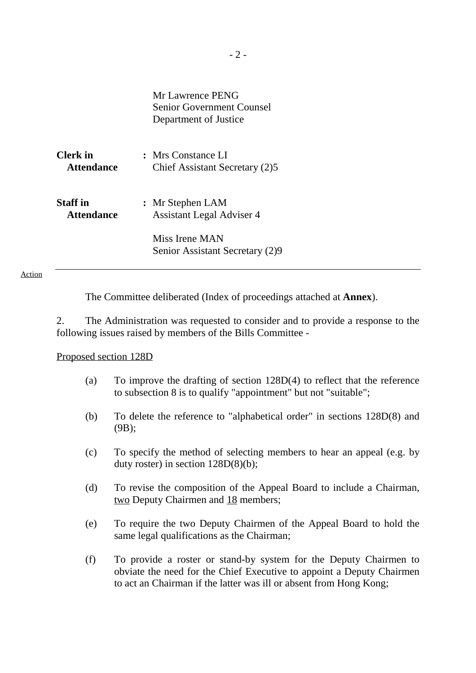Mr Lawrence PENG Senior Government Counsel Department of Justice

| <b>Clerk</b> in   | : Mrs Constance LI             |
|-------------------|--------------------------------|
| <b>Attendance</b> | Chief Assistant Secretary (2)5 |
|                   |                                |

| Staff in          | : Mr Stephen LAM                 |  |  |
|-------------------|----------------------------------|--|--|
| <b>Attendance</b> | <b>Assistant Legal Adviser 4</b> |  |  |

Miss Irene MAN Senior Assistant Secretary (2)9

#### Action

The Committee deliberated (Index of proceedings attached at **Annex**).

2. The Administration was requested to consider and to provide a response to the following issues raised by members of the Bills Committee -

#### Proposed section 128D

- (a) To improve the drafting of section 128D(4) to reflect that the reference to subsection 8 is to qualify "appointment" but not "suitable";
- (b) To delete the reference to "alphabetical order" in sections 128D(8) and (9B);
- (c) To specify the method of selecting members to hear an appeal (e.g. by duty roster) in section 128D(8)(b);
- (d) To revise the composition of the Appeal Board to include a Chairman, two Deputy Chairmen and 18 members;
- (e) To require the two Deputy Chairmen of the Appeal Board to hold the same legal qualifications as the Chairman;
- (f) To provide a roster or stand-by system for the Deputy Chairmen to obviate the need for the Chief Executive to appoint a Deputy Chairmen to act an Chairman if the latter was ill or absent from Hong Kong;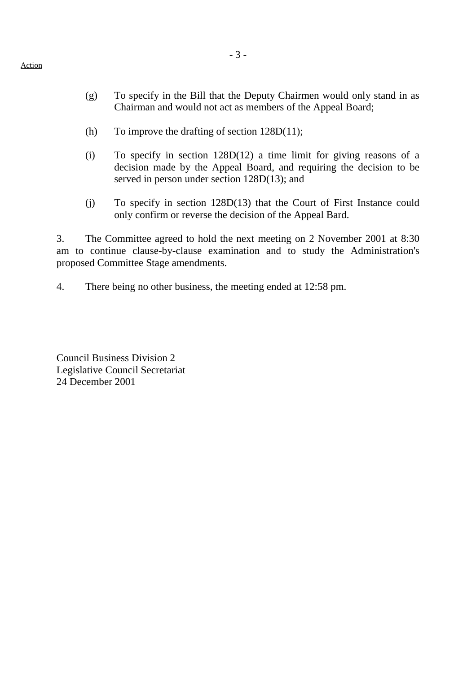- (g) To specify in the Bill that the Deputy Chairmen would only stand in as Chairman and would not act as members of the Appeal Board;
- (h) To improve the drafting of section 128D(11);
- (i) To specify in section 128D(12) a time limit for giving reasons of a decision made by the Appeal Board, and requiring the decision to be served in person under section 128D(13); and
- (j) To specify in section 128D(13) that the Court of First Instance could only confirm or reverse the decision of the Appeal Bard.

3. The Committee agreed to hold the next meeting on 2 November 2001 at 8:30 am to continue clause-by-clause examination and to study the Administration's proposed Committee Stage amendments.

4. There being no other business, the meeting ended at 12:58 pm.

Council Business Division 2 Legislative Council Secretariat 24 December 2001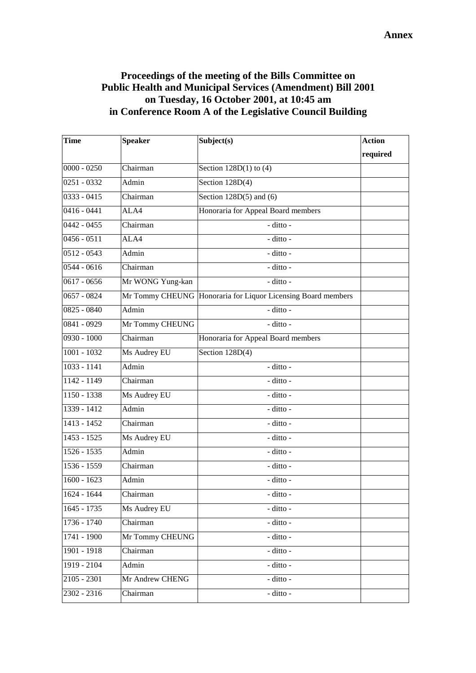## **Proceedings of the meeting of the Bills Committee on Public Health and Municipal Services (Amendment) Bill 2001 on Tuesday, 16 October 2001, at 10:45 am in Conference Room A of the Legislative Council Building**

| <b>Time</b>   | <b>Speaker</b>               | Subject(s)                                                   | <b>Action</b> |
|---------------|------------------------------|--------------------------------------------------------------|---------------|
|               |                              |                                                              | required      |
| $0000 - 0250$ | Chairman                     | Section $128D(1)$ to (4)                                     |               |
| $0251 - 0332$ | Admin                        | Section $128D(4)$                                            |               |
| 0333 - 0415   | Chairman                     | Section $128D(5)$ and $(6)$                                  |               |
| $0416 - 0441$ | ALA4                         | Honoraria for Appeal Board members                           |               |
| $0442 - 0455$ | $\overline{\text{Chairman}}$ | - ditto -                                                    |               |
| $0456 - 0511$ | ALA4                         | - ditto -                                                    |               |
| $0512 - 0543$ | Admin                        | - ditto -                                                    |               |
| $0544 - 0616$ | Chairman                     | - ditto -                                                    |               |
| $0617 - 0656$ | Mr WONG Yung-kan             | - ditto -                                                    |               |
| $0657 - 0824$ |                              | Mr Tommy CHEUNG Honoraria for Liquor Licensing Board members |               |
| $0825 - 0840$ | Admin                        | - ditto -                                                    |               |
| 0841 - 0929   | Mr Tommy CHEUNG              | - ditto -                                                    |               |
| $0930 - 1000$ | Chairman                     | Honoraria for Appeal Board members                           |               |
| $1001 - 1032$ | Ms Audrey EU                 | Section $128D(4)$                                            |               |
| $1033 - 1141$ | Admin                        | $-$ ditto $-$                                                |               |
| 1142 - 1149   | Chairman                     | - ditto -                                                    |               |
| 1150 - 1338   | Ms Audrey EU                 | - ditto -                                                    |               |
| 1339 - 1412   | Admin                        | - ditto -                                                    |               |
| 1413 - 1452   | Chairman                     | - ditto -                                                    |               |
| 1453 - 1525   | Ms Audrey EU                 | - ditto -                                                    |               |
| $1526 - 1535$ | Admin                        | - ditto -                                                    |               |
| 1536 - 1559   | Chairman                     | - ditto -                                                    |               |
| $1600 - 1623$ | Admin                        | - ditto -                                                    |               |
| $1624 - 1644$ | Chairman                     | - ditto -                                                    |               |
| 1645 - 1735   | Ms Audrey EU                 | - ditto -                                                    |               |
| $1736 - 1740$ | Chairman                     | - ditto -                                                    |               |
| 1741 - 1900   | Mr Tommy CHEUNG              | - ditto -                                                    |               |
| 1901 - 1918   | Chairman                     | - ditto -                                                    |               |
| 1919 - 2104   | Admin                        | $\mbox{-}\,$ ditto $\mbox{-}\,$                              |               |
| $2105 - 2301$ | Mr Andrew CHENG              | - ditto -                                                    |               |
| 2302 - 2316   | Chairman                     | - ditto -                                                    |               |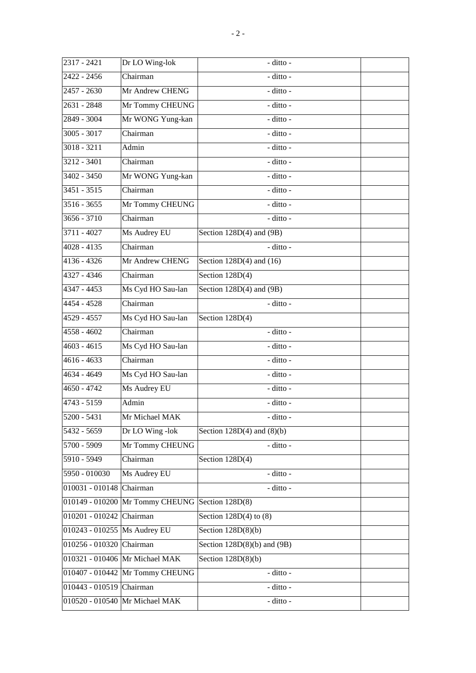| 2317 - 2421              | Dr LO Wing-lok                  | - ditto -                                  |  |
|--------------------------|---------------------------------|--------------------------------------------|--|
| 2422 - 2456              | Chairman                        | - ditto -                                  |  |
| 2457 - 2630              | Mr Andrew CHENG                 | - ditto -                                  |  |
| 2631 - 2848              | Mr Tommy CHEUNG                 | - ditto -                                  |  |
| 2849 - 3004              | Mr WONG Yung-kan                | - ditto -                                  |  |
| $3005 - 3017$            | Chairman                        | - ditto -                                  |  |
| $3018 - 3211$            | Admin                           | - ditto -                                  |  |
| $3212 - 3401$            | Chairman                        | - ditto -                                  |  |
| 3402 - 3450              | Mr WONG Yung-kan                | - ditto -                                  |  |
| $3451 - 3515$            | Chairman                        | - ditto -                                  |  |
| $3516 - 3655$            | Mr Tommy CHEUNG                 | - ditto -                                  |  |
| $3656 - 3710$            | Chairman                        | - ditto -                                  |  |
| 3711 - 4027              | Ms Audrey EU                    | Section 128D(4) and (9B)                   |  |
| $4028 - 4135$            | Chairman                        | - ditto -                                  |  |
| $4136 - 4326$            | Mr Andrew CHENG                 | Section $128D(4)$ and $(16)$               |  |
| 4327 - 4346              | Chairman                        | Section 128D(4)                            |  |
| 4347 - 4453              | Ms Cyd HO Sau-lan               | Section $128D(4)$ and $(9B)$               |  |
| 4454 - 4528              | Chairman                        | - ditto -                                  |  |
| 4529 - 4557              | Ms Cyd HO Sau-lan               | Section $128D(4)$                          |  |
| $4558 - 4602$            | Chairman                        | - ditto -                                  |  |
| 4603 - 4615              | Ms Cyd HO Sau-lan               | - ditto -                                  |  |
| 4616 - 4633              | Chairman                        | - ditto -                                  |  |
| 4634 - 4649              | Ms Cyd HO Sau-lan               | - ditto -                                  |  |
| 4650 - 4742              | Ms Audrey EU                    | - ditto -                                  |  |
| 4743 - 5159              | Admin                           | - ditto -                                  |  |
| $\overline{5200}$ - 5431 | Mr Michael MAK                  | - ditto -                                  |  |
| 5432 - 5659              | Dr LO Wing -lok                 | Section $128D(4)$ and $(8)(b)$             |  |
| 5700 - 5909              | Mr Tommy CHEUNG                 | - ditto -                                  |  |
| 5910 - 5949              | Chairman                        | Section 128D(4)                            |  |
| 5950 - 010030            | Ms Audrey EU                    | - ditto -                                  |  |
| $010031 - 010148$        | Chairman                        | - ditto -                                  |  |
| 010149 - 010200          | Mr Tommy CHEUNG Section 128D(8) |                                            |  |
| 010201 - 010242          | Chairman                        | Section $128D(4)$ to $(8)$                 |  |
| 010243 - 010255          | Ms Audrey EU                    | Section $128D(8)(b)$                       |  |
| 010256 - 010320          | Chairman                        | Section $128D(8)(b)$ and $\overline{(9B)}$ |  |
|                          | 010321 - 010406 Mr Michael MAK  | Section $128D(8)(b)$                       |  |
|                          | 010407 - 010442 Mr Tommy CHEUNG | - ditto -                                  |  |
| 010443 - 010519 Chairman |                                 | - ditto -                                  |  |
|                          | 010520 - 010540 Mr Michael MAK  | - ditto -                                  |  |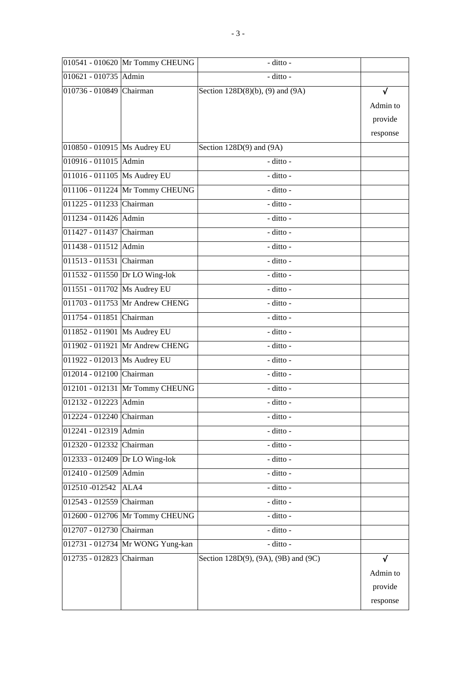|                                | 010541 - 010620 Mr Tommy CHEUNG  | - ditto -                            |           |
|--------------------------------|----------------------------------|--------------------------------------|-----------|
| 010621 - 010735 Admin          |                                  | - ditto -                            |           |
| 010736 - 010849 Chairman       |                                  | Section $128D(8)(b)$ , (9) and (9A)  | $\sqrt{}$ |
|                                |                                  |                                      | Admin to  |
|                                |                                  |                                      | provide   |
|                                |                                  |                                      | response  |
| 010850 - 010915 Ms Audrey EU   |                                  | Section 128D(9) and (9A)             |           |
| 010916 - 011015 Admin          |                                  | - ditto -                            |           |
| 011016 - 011105 Ms Audrey EU   |                                  | - ditto -                            |           |
|                                | 011106 - 011224 Mr Tommy CHEUNG  | - ditto -                            |           |
| 011225 - 011233 Chairman       |                                  | - ditto -                            |           |
| 011234 - 011426 Admin          |                                  | - ditto -                            |           |
| 011427 - 011437 Chairman       |                                  | - ditto -                            |           |
| 011438 - 011512 Admin          |                                  | - ditto -                            |           |
| 011513 - 011531 Chairman       |                                  | - ditto -                            |           |
|                                | 011532 - 011550 Dr LO Wing-lok   | - ditto -                            |           |
| 011551 - 011702 Ms Audrey EU   |                                  | $-$ ditto $-$                        |           |
|                                | 011703 - 011753 Mr Andrew CHENG  | - ditto -                            |           |
| 011754 - 011851 Chairman       |                                  | - ditto -                            |           |
| 011852 - 011901 Ms Audrey EU   |                                  | - ditto -                            |           |
|                                | 011902 - 011921 Mr Andrew CHENG  | - ditto -                            |           |
| 011922 - 012013   Ms Audrey EU |                                  | - ditto -                            |           |
| 012014 - 012100 Chairman       |                                  | - ditto -                            |           |
|                                | 012101 - 012131 Mr Tommy CHEUNG  | - ditto -                            |           |
| 012132 - 012223 Admin          |                                  | - ditto -                            |           |
| 012224 - 012240 Chairman       |                                  | ditto -                              |           |
| 012241 - 012319 Admin          |                                  | - ditto -                            |           |
| 012320 - 012332 Chairman       |                                  | - ditto -                            |           |
|                                | 012333 - 012409 Dr LO Wing-lok   | - ditto -                            |           |
| 012410 - 012509 Admin          |                                  | - ditto -                            |           |
| 012510 -012542                 | ALA4                             | - ditto -                            |           |
| 012543 - 012559                | Chairman                         | - ditto -                            |           |
|                                | 012600 - 012706 Mr Tommy CHEUNG  | - ditto -                            |           |
| 012707 - 012730                | Chairman                         | - ditto -                            |           |
|                                | 012731 - 012734 Mr WONG Yung-kan | - ditto -                            |           |
| 012735 - 012823                | Chairman                         | Section 128D(9), (9A), (9B) and (9C) | √         |
|                                |                                  |                                      | Admin to  |
|                                |                                  |                                      | provide   |
|                                |                                  |                                      | response  |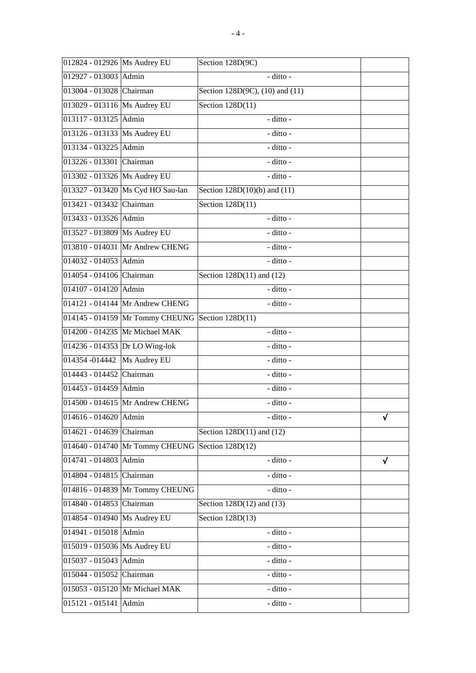| 012824 - 012926   Ms Audrey EU |                                                  | Section 128D(9C)                       |   |
|--------------------------------|--------------------------------------------------|----------------------------------------|---|
| 012927 - 013003 Admin          |                                                  | - ditto -                              |   |
| 013004 - 013028 Chairman       |                                                  | Section $128D(9C)$ , $(10)$ and $(11)$ |   |
| 013029 - 013116   Ms Audrey EU |                                                  | Section 128D(11)                       |   |
| 013117 - 013125 Admin          |                                                  | - ditto -                              |   |
| 013126 - 013133 Ms Audrey EU   |                                                  | - ditto -                              |   |
| 013134 - 013225 Admin          |                                                  | - ditto -                              |   |
| 013226 - 013301 Chairman       |                                                  | - ditto -                              |   |
| 013302 - 013326 Ms Audrey EU   |                                                  | - ditto -                              |   |
|                                | 013327 - 013420 Ms Cyd HO Sau-lan                | Section $128D(10)(b)$ and $(11)$       |   |
| 013421 - 013432 Chairman       |                                                  | Section $128D(11)$                     |   |
| 013433 - 013526 Admin          |                                                  | $-$ ditto -                            |   |
| 013527 - 013809 Ms Audrey EU   |                                                  | - ditto -                              |   |
|                                | 013810 - 014031 Mr Andrew CHENG                  | - ditto -                              |   |
| 014032 - 014053 Admin          |                                                  | - ditto -                              |   |
| 014054 - 014106 Chairman       |                                                  | Section $128D(11)$ and $(12)$          |   |
| 014107 - 014120 Admin          |                                                  | - ditto -                              |   |
|                                | 014121 - 014144 Mr Andrew CHENG                  | - ditto -                              |   |
|                                | 014145 - 014159 Mr Tommy CHEUNG Section 128D(11) |                                        |   |
|                                | 014200 - 014235 Mr Michael MAK                   | - ditto -                              |   |
| 014236 - 014353 Dr LO Wing-lok |                                                  | - ditto -                              |   |
| 014354 -014442                 | Ms Audrey EU                                     | - ditto -                              |   |
| 014443 - 014452 Chairman       |                                                  | - ditto -                              |   |
| 014453 - 014459 Admin          |                                                  | - ditto -                              |   |
|                                | 014500 - 014615 Mr Andrew CHENG                  | - ditto -                              |   |
| 014616 - 014620 Admin          |                                                  | - ditto -                              | √ |
| 014621 - 014639                | Chairman                                         | Section 128D(11) and (12)              |   |
| 014640 - 014740                | Mr Tommy CHEUNG Section 128D(12)                 |                                        |   |
| 014741 - 014803                | Admin                                            | - ditto -                              | √ |
| 014804 - 014815                | Chairman                                         | - ditto -                              |   |
| 014816 - 014839                | Mr Tommy CHEUNG                                  | - ditto -                              |   |
| 014840 - 014853                | Chairman                                         | Section $128D(12)$ and $(13)$          |   |
| 014854 - 014940                | Ms Audrey EU                                     | Section $128D(13)$                     |   |
| 014941 - 015018                | Admin                                            | - ditto -                              |   |
| 015019 - 015036   Ms Audrey EU |                                                  | - ditto -                              |   |
| 015037 - 015043 Admin          |                                                  | - ditto -                              |   |
| 015044 - 015052 Chairman       |                                                  | - ditto -                              |   |
|                                | 015053 - 015120 Mr Michael MAK                   | - ditto -                              |   |
| 015121 - 015141 Admin          |                                                  | - ditto -                              |   |